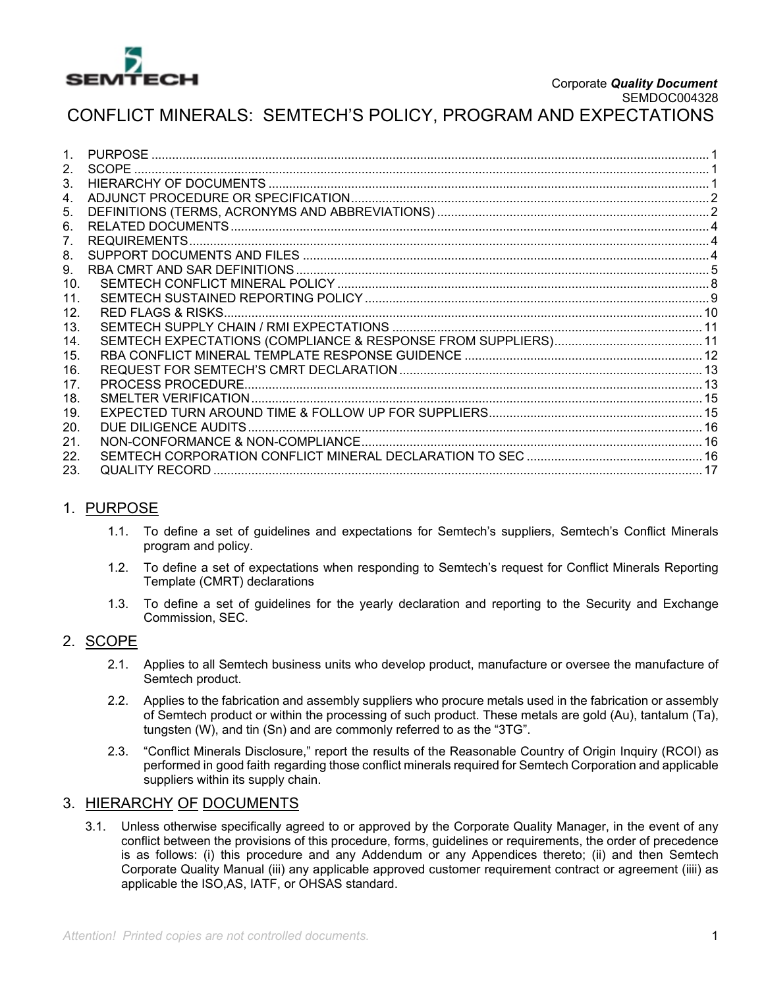

CONFLICT MINERALS: SEMTECH'S POLICY, PROGRAM AND EXPECTATIONS

|         | <b>PURPOSE</b>     |  |
|---------|--------------------|--|
| $2_{1}$ | <b>SCOPE</b>       |  |
| 3.      |                    |  |
| 4.      |                    |  |
| 5.      |                    |  |
| 6.      |                    |  |
| 7.      |                    |  |
| 8.      |                    |  |
| 9.      |                    |  |
| 10.     |                    |  |
| 11.     |                    |  |
| 12.     |                    |  |
| 13.     |                    |  |
| 14.     |                    |  |
| 15.     |                    |  |
| 16.     |                    |  |
| 17.     | PROCESS PROCEDURE. |  |
| 18.     |                    |  |
| 19.     |                    |  |
| 20.     |                    |  |
| 21.     |                    |  |
| 22.     |                    |  |
| 23.     | QUALITY RECORD     |  |

## 1. PURPOSE

- 1.1. To define a set of guidelines and expectations for Semtech's suppliers, Semtech's Conflict Minerals program and policy.
- 1.2. To define a set of expectations when responding to Semtech's request for Conflict Minerals Reporting Template (CMRT) declarations
- 1.3. To define a set of guidelines for the yearly declaration and reporting to the Security and Exchange Commission, SEC.

## 2. SCOPE

- 2.1. Applies to all Semtech business units who develop product, manufacture or oversee the manufacture of Semtech product.
- 2.2. Applies to the fabrication and assembly suppliers who procure metals used in the fabrication or assembly of Semtech product or within the processing of such product. These metals are gold (Au), tantalum (Ta), tungsten (W), and tin (Sn) and are commonly referred to as the "3TG".
- 2.3. "Conflict Minerals Disclosure," report the results of the Reasonable Country of Origin Inquiry (RCOI) as performed in good faith regarding those conflict minerals required for Semtech Corporation and applicable suppliers within its supply chain.

### 3. HIERARCHY OF DOCUMENTS

3.1. Unless otherwise specifically agreed to or approved by the Corporate Quality Manager, in the event of any conflict between the provisions of this procedure, forms, guidelines or requirements, the order of precedence is as follows: (i) this procedure and any Addendum or any Appendices thereto; (ii) and then Semtech Corporate Quality Manual (iii) any applicable approved customer requirement contract or agreement (iiii) as applicable the ISO,AS, IATF, or OHSAS standard.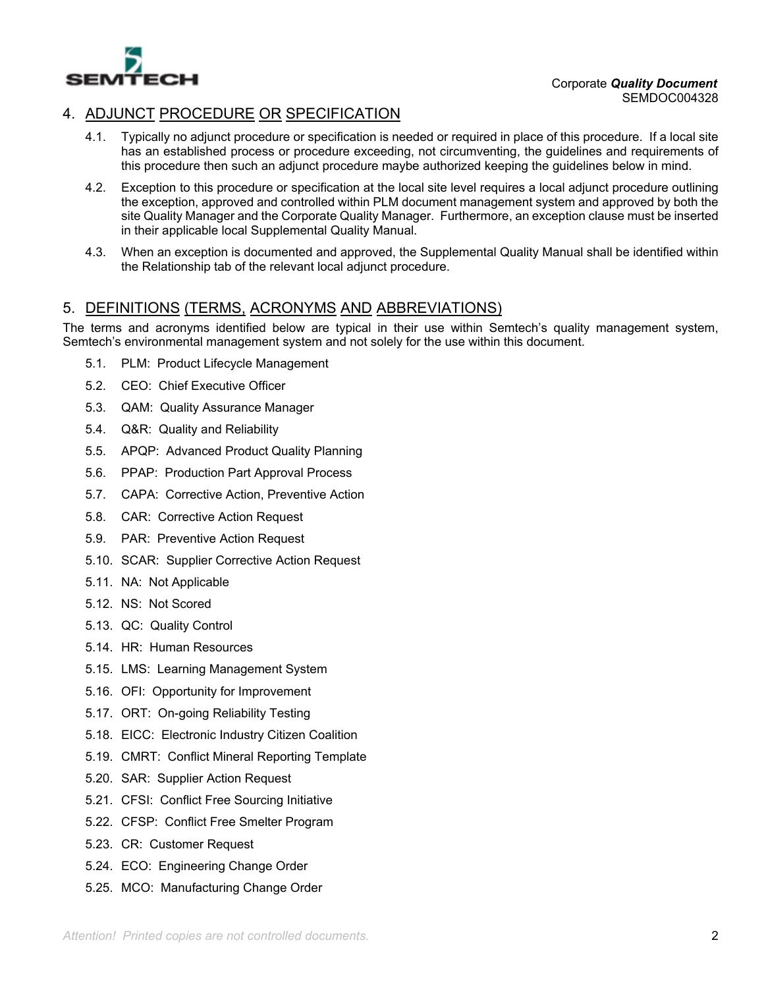

## 4. ADJUNCT PROCEDURE OR SPECIFICATION

- 4.1. Typically no adjunct procedure or specification is needed or required in place of this procedure. If a local site has an established process or procedure exceeding, not circumventing, the guidelines and requirements of this procedure then such an adjunct procedure maybe authorized keeping the guidelines below in mind.
- 4.2. Exception to this procedure or specification at the local site level requires a local adjunct procedure outlining the exception, approved and controlled within PLM document management system and approved by both the site Quality Manager and the Corporate Quality Manager. Furthermore, an exception clause must be inserted in their applicable local Supplemental Quality Manual.
- 4.3. When an exception is documented and approved, the Supplemental Quality Manual shall be identified within the Relationship tab of the relevant local adjunct procedure.

## 5. DEFINITIONS (TERMS, ACRONYMS AND ABBREVIATIONS)

The terms and acronyms identified below are typical in their use within Semtech's quality management system, Semtech's environmental management system and not solely for the use within this document.

- 5.1. PLM: Product Lifecycle Management
- 5.2. CEO: Chief Executive Officer
- 5.3. QAM: Quality Assurance Manager
- 5.4. Q&R: Quality and Reliability
- 5.5. APQP: Advanced Product Quality Planning
- 5.6. PPAP: Production Part Approval Process
- 5.7. CAPA: Corrective Action, Preventive Action
- 5.8. CAR: Corrective Action Request
- 5.9. PAR: Preventive Action Request
- 5.10. SCAR: Supplier Corrective Action Request
- 5.11. NA: Not Applicable
- 5.12. NS: Not Scored
- 5.13. QC: Quality Control
- 5.14. HR: Human Resources
- 5.15. LMS: Learning Management System
- 5.16. OFI: Opportunity for Improvement
- 5.17. ORT: On-going Reliability Testing
- 5.18. EICC: Electronic Industry Citizen Coalition
- 5.19. CMRT: Conflict Mineral Reporting Template
- 5.20. SAR: Supplier Action Request
- 5.21. CFSI: Conflict Free Sourcing Initiative
- 5.22. CFSP: Conflict Free Smelter Program
- 5.23. CR: Customer Request
- 5.24. ECO: Engineering Change Order
- 5.25. MCO: Manufacturing Change Order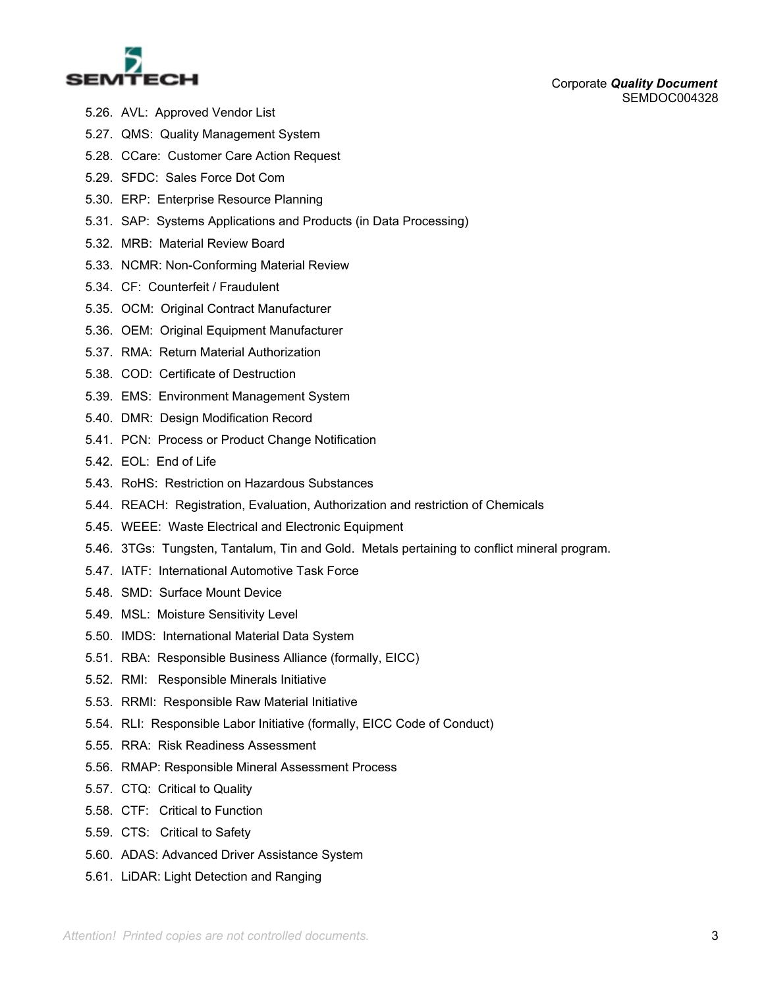

- 5.26. AVL: Approved Vendor List
- 5.27. QMS: Quality Management System
- 5.28. CCare: Customer Care Action Request
- 5.29. SFDC: Sales Force Dot Com
- 5.30. ERP: Enterprise Resource Planning
- 5.31. SAP: Systems Applications and Products (in Data Processing)
- 5.32. MRB: Material Review Board
- 5.33. NCMR: Non-Conforming Material Review
- 5.34. CF: Counterfeit / Fraudulent
- 5.35. OCM: Original Contract Manufacturer
- 5.36. OEM: Original Equipment Manufacturer
- 5.37. RMA: Return Material Authorization
- 5.38. COD: Certificate of Destruction
- 5.39. EMS: Environment Management System
- 5.40. DMR: Design Modification Record
- 5.41. PCN: Process or Product Change Notification
- 5.42. EOL: End of Life
- 5.43. RoHS: Restriction on Hazardous Substances
- 5.44. REACH: Registration, Evaluation, Authorization and restriction of Chemicals
- 5.45. WEEE: Waste Electrical and Electronic Equipment
- 5.46. 3TGs: Tungsten, Tantalum, Tin and Gold. Metals pertaining to conflict mineral program.
- 5.47. IATF: International Automotive Task Force
- 5.48. SMD: Surface Mount Device
- 5.49. MSL: Moisture Sensitivity Level
- 5.50. IMDS: International Material Data System
- 5.51. RBA: Responsible Business Alliance (formally, EICC)
- 5.52. RMI: Responsible Minerals Initiative
- 5.53. RRMI: Responsible Raw Material Initiative
- 5.54. RLI: Responsible Labor Initiative (formally, EICC Code of Conduct)
- 5.55. RRA: Risk Readiness Assessment
- 5.56. RMAP: Responsible Mineral Assessment Process
- 5.57. CTQ: Critical to Quality
- 5.58. CTF: Critical to Function
- 5.59. CTS: Critical to Safety
- 5.60. ADAS: Advanced Driver Assistance System
- 5.61. LiDAR: Light Detection and Ranging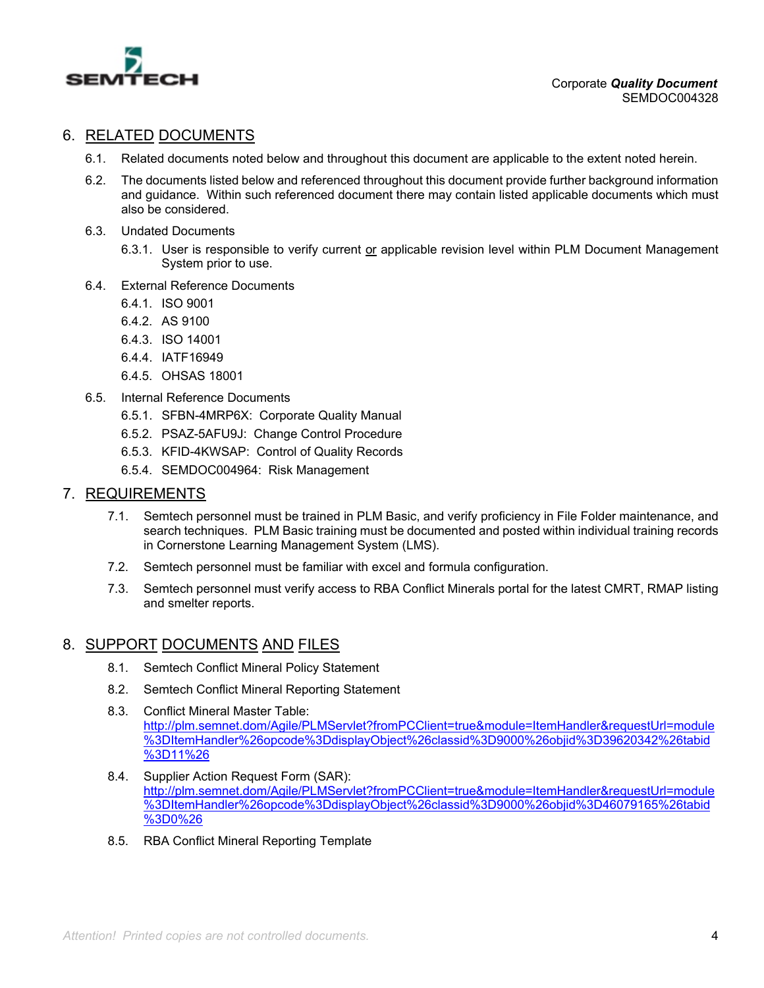

## 6. RELATED DOCUMENTS

- 6.1. Related documents noted below and throughout this document are applicable to the extent noted herein.
- 6.2. The documents listed below and referenced throughout this document provide further background information and guidance. Within such referenced document there may contain listed applicable documents which must also be considered.
- 6.3. Undated Documents
	- 6.3.1. User is responsible to verify current or applicable revision level within PLM Document Management System prior to use.
- 6.4. External Reference Documents
	- 6.4.1. ISO 9001
	- 6.4.2. AS 9100
	- 6.4.3. ISO 14001
	- 6.4.4. IATF16949
	- 6.4.5. OHSAS 18001
- 6.5. Internal Reference Documents
	- 6.5.1. SFBN-4MRP6X: Corporate Quality Manual
	- 6.5.2. PSAZ-5AFU9J: Change Control Procedure
	- 6.5.3. KFID-4KWSAP: Control of Quality Records
	- 6.5.4. SEMDOC004964: Risk Management

#### 7. REQUIREMENTS

- 7.1. Semtech personnel must be trained in PLM Basic, and verify proficiency in File Folder maintenance, and search techniques. PLM Basic training must be documented and posted within individual training records in Cornerstone Learning Management System (LMS).
- 7.2. Semtech personnel must be familiar with excel and formula configuration.
- 7.3. Semtech personnel must verify access to RBA Conflict Minerals portal for the latest CMRT, RMAP listing and smelter reports.

#### 8. SUPPORT DOCUMENTS AND FILES

- 8.1. Semtech Conflict Mineral Policy Statement
- 8.2. Semtech Conflict Mineral Reporting Statement
- 8.3. Conflict Mineral Master Table: http://plm.semnet.dom/Agile/PLMServlet?fromPCClient=true&module=ItemHandler&requestUrl=module %3DItemHandler%26opcode%3DdisplayObject%26classid%3D9000%26objid%3D39620342%26tabid %3D11%26
- 8.4. Supplier Action Request Form (SAR): http://plm.semnet.dom/Agile/PLMServlet?fromPCClient=true&module=ItemHandler&requestUrl=module %3DItemHandler%26opcode%3DdisplayObject%26classid%3D9000%26objid%3D46079165%26tabid %3D0%26
- 8.5. RBA Conflict Mineral Reporting Template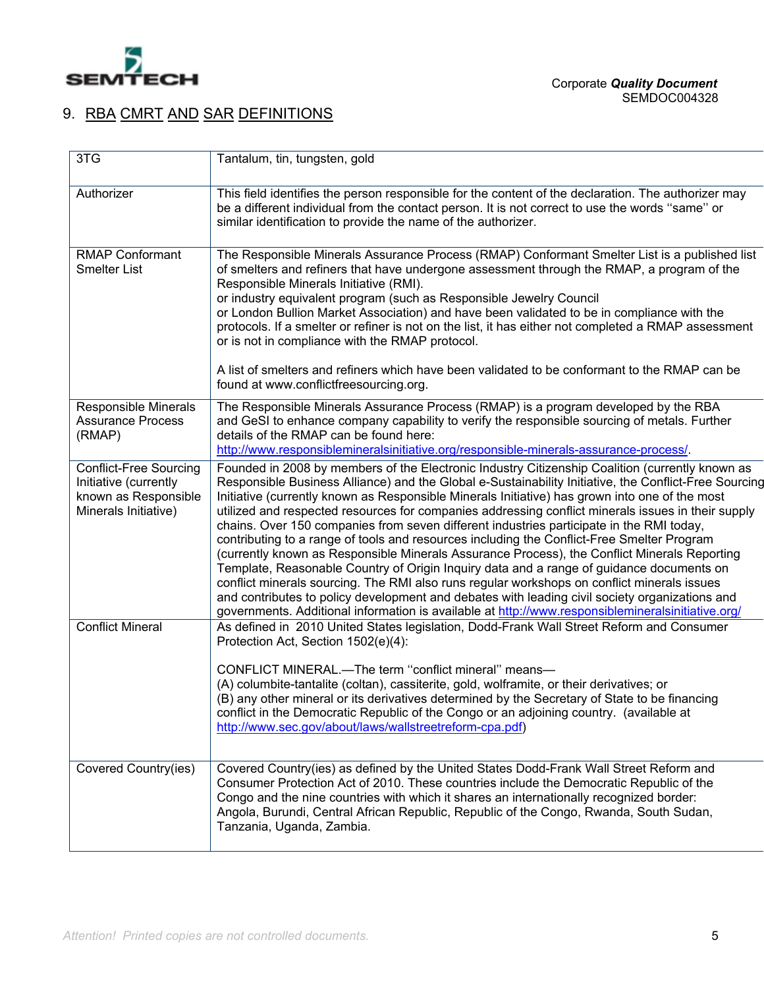

# 9. RBA CMRT AND SAR DEFINITIONS

| 3TG                                                                                                    | Tantalum, tin, tungsten, gold                                                                                                                                                                                                                                                                                                                                                                                                                                                                                                                                                                                                                                                                                                                                                                                                                                                                                                                                                                                                                                                                                |
|--------------------------------------------------------------------------------------------------------|--------------------------------------------------------------------------------------------------------------------------------------------------------------------------------------------------------------------------------------------------------------------------------------------------------------------------------------------------------------------------------------------------------------------------------------------------------------------------------------------------------------------------------------------------------------------------------------------------------------------------------------------------------------------------------------------------------------------------------------------------------------------------------------------------------------------------------------------------------------------------------------------------------------------------------------------------------------------------------------------------------------------------------------------------------------------------------------------------------------|
| Authorizer                                                                                             | This field identifies the person responsible for the content of the declaration. The authorizer may<br>be a different individual from the contact person. It is not correct to use the words "same" or<br>similar identification to provide the name of the authorizer.                                                                                                                                                                                                                                                                                                                                                                                                                                                                                                                                                                                                                                                                                                                                                                                                                                      |
| <b>RMAP Conformant</b><br><b>Smelter List</b>                                                          | The Responsible Minerals Assurance Process (RMAP) Conformant Smelter List is a published list<br>of smelters and refiners that have undergone assessment through the RMAP, a program of the<br>Responsible Minerals Initiative (RMI).<br>or industry equivalent program (such as Responsible Jewelry Council<br>or London Bullion Market Association) and have been validated to be in compliance with the<br>protocols. If a smelter or refiner is not on the list, it has either not completed a RMAP assessment<br>or is not in compliance with the RMAP protocol.<br>A list of smelters and refiners which have been validated to be conformant to the RMAP can be<br>found at www.conflictfreesourcing.org.                                                                                                                                                                                                                                                                                                                                                                                             |
| Responsible Minerals<br><b>Assurance Process</b><br>(RMAP)                                             | The Responsible Minerals Assurance Process (RMAP) is a program developed by the RBA<br>and GeSI to enhance company capability to verify the responsible sourcing of metals. Further<br>details of the RMAP can be found here:<br>http://www.responsiblemineralsinitiative.org/responsible-minerals-assurance-process/.                                                                                                                                                                                                                                                                                                                                                                                                                                                                                                                                                                                                                                                                                                                                                                                       |
| <b>Conflict-Free Sourcing</b><br>Initiative (currently<br>known as Responsible<br>Minerals Initiative) | Founded in 2008 by members of the Electronic Industry Citizenship Coalition (currently known as<br>Responsible Business Alliance) and the Global e-Sustainability Initiative, the Conflict-Free Sourcing<br>Initiative (currently known as Responsible Minerals Initiative) has grown into one of the most<br>utilized and respected resources for companies addressing conflict minerals issues in their supply<br>chains. Over 150 companies from seven different industries participate in the RMI today,<br>contributing to a range of tools and resources including the Conflict-Free Smelter Program<br>(currently known as Responsible Minerals Assurance Process), the Conflict Minerals Reporting<br>Template, Reasonable Country of Origin Inquiry data and a range of guidance documents on<br>conflict minerals sourcing. The RMI also runs regular workshops on conflict minerals issues<br>and contributes to policy development and debates with leading civil society organizations and<br>governments. Additional information is available at http://www.responsiblemineralsinitiative.org/ |
| <b>Conflict Mineral</b>                                                                                | As defined in 2010 United States legislation, Dodd-Frank Wall Street Reform and Consumer<br>Protection Act, Section 1502(e)(4):<br>CONFLICT MINERAL.-The term "conflict mineral" means-<br>(A) columbite-tantalite (coltan), cassiterite, gold, wolframite, or their derivatives; or<br>(B) any other mineral or its derivatives determined by the Secretary of State to be financing<br>conflict in the Democratic Republic of the Congo or an adjoining country. (available at<br>http://www.sec.gov/about/laws/wallstreetreform-cpa.pdf)                                                                                                                                                                                                                                                                                                                                                                                                                                                                                                                                                                  |
| Covered Country(ies)                                                                                   | Covered Country(ies) as defined by the United States Dodd-Frank Wall Street Reform and<br>Consumer Protection Act of 2010. These countries include the Democratic Republic of the<br>Congo and the nine countries with which it shares an internationally recognized border:<br>Angola, Burundi, Central African Republic, Republic of the Congo, Rwanda, South Sudan,<br>Tanzania, Uganda, Zambia.                                                                                                                                                                                                                                                                                                                                                                                                                                                                                                                                                                                                                                                                                                          |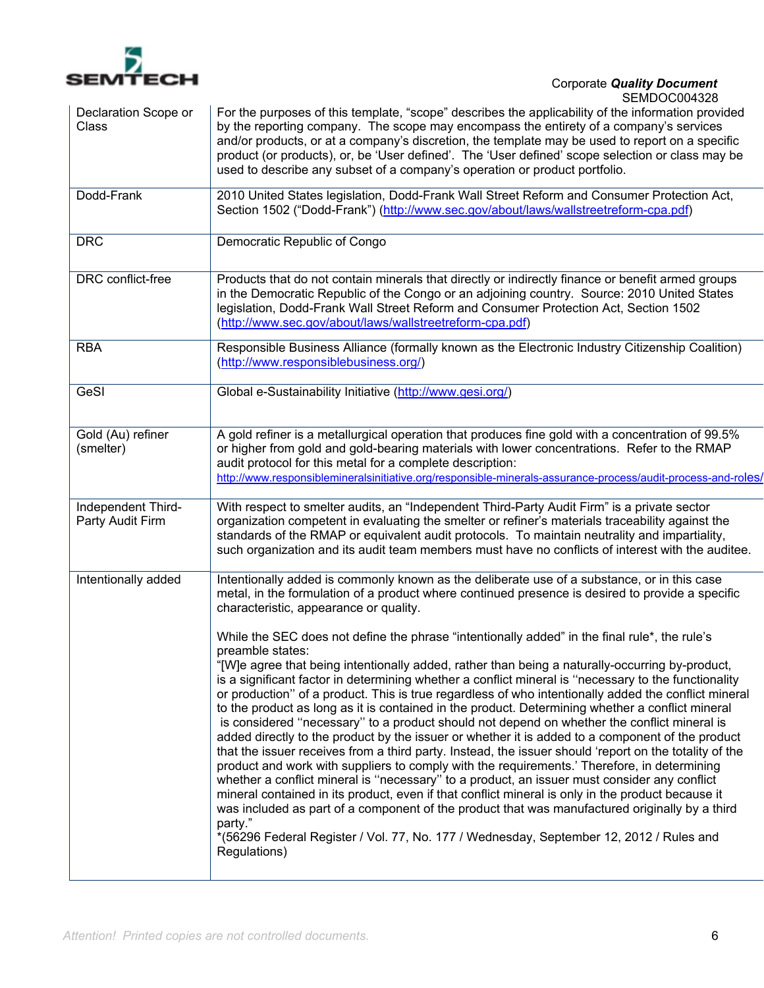

| Declaration Scope or<br>Class          | <b>OLIVIDUUUU4JZ0</b><br>For the purposes of this template, "scope" describes the applicability of the information provided<br>by the reporting company. The scope may encompass the entirety of a company's services<br>and/or products, or at a company's discretion, the template may be used to report on a specific<br>product (or products), or, be 'User defined'. The 'User defined' scope selection or class may be<br>used to describe any subset of a company's operation or product portfolio.                                                                                                                                                                                                                                                                                                                                                                                                                                                                                                                                                                                                                                                                                                                                                                                                                                                                        |
|----------------------------------------|-----------------------------------------------------------------------------------------------------------------------------------------------------------------------------------------------------------------------------------------------------------------------------------------------------------------------------------------------------------------------------------------------------------------------------------------------------------------------------------------------------------------------------------------------------------------------------------------------------------------------------------------------------------------------------------------------------------------------------------------------------------------------------------------------------------------------------------------------------------------------------------------------------------------------------------------------------------------------------------------------------------------------------------------------------------------------------------------------------------------------------------------------------------------------------------------------------------------------------------------------------------------------------------------------------------------------------------------------------------------------------------|
| Dodd-Frank                             | 2010 United States legislation, Dodd-Frank Wall Street Reform and Consumer Protection Act,<br>Section 1502 ("Dodd-Frank") (http://www.sec.gov/about/laws/wallstreetreform-cpa.pdf)                                                                                                                                                                                                                                                                                                                                                                                                                                                                                                                                                                                                                                                                                                                                                                                                                                                                                                                                                                                                                                                                                                                                                                                                |
| <b>DRC</b>                             | Democratic Republic of Congo                                                                                                                                                                                                                                                                                                                                                                                                                                                                                                                                                                                                                                                                                                                                                                                                                                                                                                                                                                                                                                                                                                                                                                                                                                                                                                                                                      |
| DRC conflict-free                      | Products that do not contain minerals that directly or indirectly finance or benefit armed groups<br>in the Democratic Republic of the Congo or an adjoining country. Source: 2010 United States<br>legislation, Dodd-Frank Wall Street Reform and Consumer Protection Act, Section 1502<br>(http://www.sec.gov/about/laws/wallstreetreform-cpa.pdf)                                                                                                                                                                                                                                                                                                                                                                                                                                                                                                                                                                                                                                                                                                                                                                                                                                                                                                                                                                                                                              |
| <b>RBA</b>                             | Responsible Business Alliance (formally known as the Electronic Industry Citizenship Coalition)<br>(http://www.responsiblebusiness.org/)                                                                                                                                                                                                                                                                                                                                                                                                                                                                                                                                                                                                                                                                                                                                                                                                                                                                                                                                                                                                                                                                                                                                                                                                                                          |
| GeSI                                   | Global e-Sustainability Initiative (http://www.gesi.org/)                                                                                                                                                                                                                                                                                                                                                                                                                                                                                                                                                                                                                                                                                                                                                                                                                                                                                                                                                                                                                                                                                                                                                                                                                                                                                                                         |
| Gold (Au) refiner<br>(smelter)         | A gold refiner is a metallurgical operation that produces fine gold with a concentration of 99.5%<br>or higher from gold and gold-bearing materials with lower concentrations. Refer to the RMAP<br>audit protocol for this metal for a complete description:<br>http://www.responsiblemineralsinitiative.org/responsible-minerals-assurance-process/audit-process-and-roles/                                                                                                                                                                                                                                                                                                                                                                                                                                                                                                                                                                                                                                                                                                                                                                                                                                                                                                                                                                                                     |
| Independent Third-<br>Party Audit Firm | With respect to smelter audits, an "Independent Third-Party Audit Firm" is a private sector<br>organization competent in evaluating the smelter or refiner's materials traceability against the<br>standards of the RMAP or equivalent audit protocols. To maintain neutrality and impartiality,<br>such organization and its audit team members must have no conflicts of interest with the auditee.                                                                                                                                                                                                                                                                                                                                                                                                                                                                                                                                                                                                                                                                                                                                                                                                                                                                                                                                                                             |
| Intentionally added                    | Intentionally added is commonly known as the deliberate use of a substance, or in this case<br>metal, in the formulation of a product where continued presence is desired to provide a specific<br>characteristic, appearance or quality.                                                                                                                                                                                                                                                                                                                                                                                                                                                                                                                                                                                                                                                                                                                                                                                                                                                                                                                                                                                                                                                                                                                                         |
|                                        | While the SEC does not define the phrase "intentionally added" in the final rule*, the rule's<br>preamble states:<br>"[W]e agree that being intentionally added, rather than being a naturally-occurring by-product,<br>is a significant factor in determining whether a conflict mineral is "necessary to the functionality<br>or production" of a product. This is true regardless of who intentionally added the conflict mineral<br>to the product as long as it is contained in the product. Determining whether a conflict mineral<br>is considered "necessary" to a product should not depend on whether the conflict mineral is<br>added directly to the product by the issuer or whether it is added to a component of the product<br>that the issuer receives from a third party. Instead, the issuer should 'report on the totality of the<br>product and work with suppliers to comply with the requirements.' Therefore, in determining<br>whether a conflict mineral is "necessary" to a product, an issuer must consider any conflict<br>mineral contained in its product, even if that conflict mineral is only in the product because it<br>was included as part of a component of the product that was manufactured originally by a third<br>party."<br>*(56296 Federal Register / Vol. 77, No. 177 / Wednesday, September 12, 2012 / Rules and<br>Regulations) |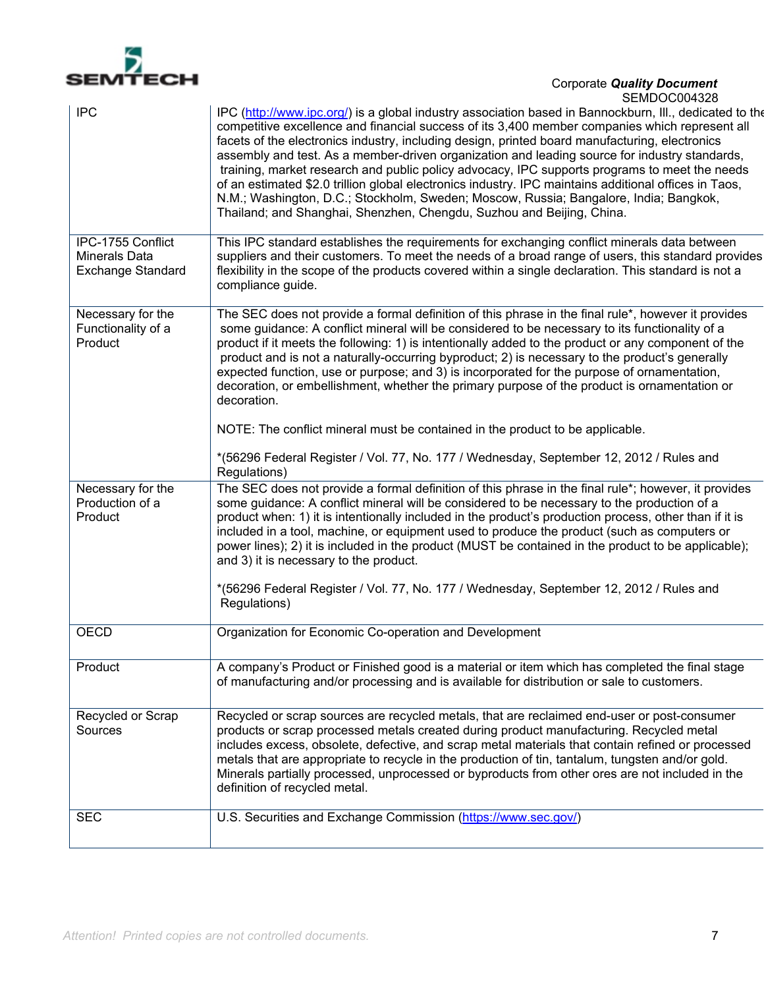

| <b>IPC</b>                                                     | IPC (http://www.ipc.org/) is a global industry association based in Bannockburn, Ill., dedicated to the<br>competitive excellence and financial success of its 3,400 member companies which represent all<br>facets of the electronics industry, including design, printed board manufacturing, electronics<br>assembly and test. As a member-driven organization and leading source for industry standards,<br>training, market research and public policy advocacy, IPC supports programs to meet the needs<br>of an estimated \$2.0 trillion global electronics industry. IPC maintains additional offices in Taos,<br>N.M.; Washington, D.C.; Stockholm, Sweden; Moscow, Russia; Bangalore, India; Bangkok,<br>Thailand; and Shanghai, Shenzhen, Chengdu, Suzhou and Beijing, China.                 |
|----------------------------------------------------------------|----------------------------------------------------------------------------------------------------------------------------------------------------------------------------------------------------------------------------------------------------------------------------------------------------------------------------------------------------------------------------------------------------------------------------------------------------------------------------------------------------------------------------------------------------------------------------------------------------------------------------------------------------------------------------------------------------------------------------------------------------------------------------------------------------------|
| IPC-1755 Conflict<br><b>Minerals Data</b><br>Exchange Standard | This IPC standard establishes the requirements for exchanging conflict minerals data between<br>suppliers and their customers. To meet the needs of a broad range of users, this standard provides<br>flexibility in the scope of the products covered within a single declaration. This standard is not a<br>compliance guide.                                                                                                                                                                                                                                                                                                                                                                                                                                                                          |
| Necessary for the<br>Functionality of a<br>Product             | The SEC does not provide a formal definition of this phrase in the final rule*, however it provides<br>some guidance: A conflict mineral will be considered to be necessary to its functionality of a<br>product if it meets the following: 1) is intentionally added to the product or any component of the<br>product and is not a naturally-occurring byproduct; 2) is necessary to the product's generally<br>expected function, use or purpose; and 3) is incorporated for the purpose of ornamentation,<br>decoration, or embellishment, whether the primary purpose of the product is ornamentation or<br>decoration.<br>NOTE: The conflict mineral must be contained in the product to be applicable.<br>*(56296 Federal Register / Vol. 77, No. 177 / Wednesday, September 12, 2012 / Rules and |
| Necessary for the                                              | Regulations)<br>The SEC does not provide a formal definition of this phrase in the final rule*; however, it provides                                                                                                                                                                                                                                                                                                                                                                                                                                                                                                                                                                                                                                                                                     |
| Production of a<br>Product                                     | some guidance: A conflict mineral will be considered to be necessary to the production of a<br>product when: 1) it is intentionally included in the product's production process, other than if it is<br>included in a tool, machine, or equipment used to produce the product (such as computers or<br>power lines); 2) it is included in the product (MUST be contained in the product to be applicable);<br>and 3) it is necessary to the product.                                                                                                                                                                                                                                                                                                                                                    |
|                                                                | *(56296 Federal Register / Vol. 77, No. 177 / Wednesday, September 12, 2012 / Rules and<br>Regulations)                                                                                                                                                                                                                                                                                                                                                                                                                                                                                                                                                                                                                                                                                                  |
| <b>OECD</b>                                                    | Organization for Economic Co-operation and Development                                                                                                                                                                                                                                                                                                                                                                                                                                                                                                                                                                                                                                                                                                                                                   |
| Product                                                        | A company's Product or Finished good is a material or item which has completed the final stage<br>of manufacturing and/or processing and is available for distribution or sale to customers.                                                                                                                                                                                                                                                                                                                                                                                                                                                                                                                                                                                                             |
| Recycled or Scrap<br>Sources                                   | Recycled or scrap sources are recycled metals, that are reclaimed end-user or post-consumer<br>products or scrap processed metals created during product manufacturing. Recycled metal<br>includes excess, obsolete, defective, and scrap metal materials that contain refined or processed<br>metals that are appropriate to recycle in the production of tin, tantalum, tungsten and/or gold.<br>Minerals partially processed, unprocessed or byproducts from other ores are not included in the<br>definition of recycled metal.                                                                                                                                                                                                                                                                      |
| <b>SEC</b>                                                     | U.S. Securities and Exchange Commission (https://www.sec.gov/)                                                                                                                                                                                                                                                                                                                                                                                                                                                                                                                                                                                                                                                                                                                                           |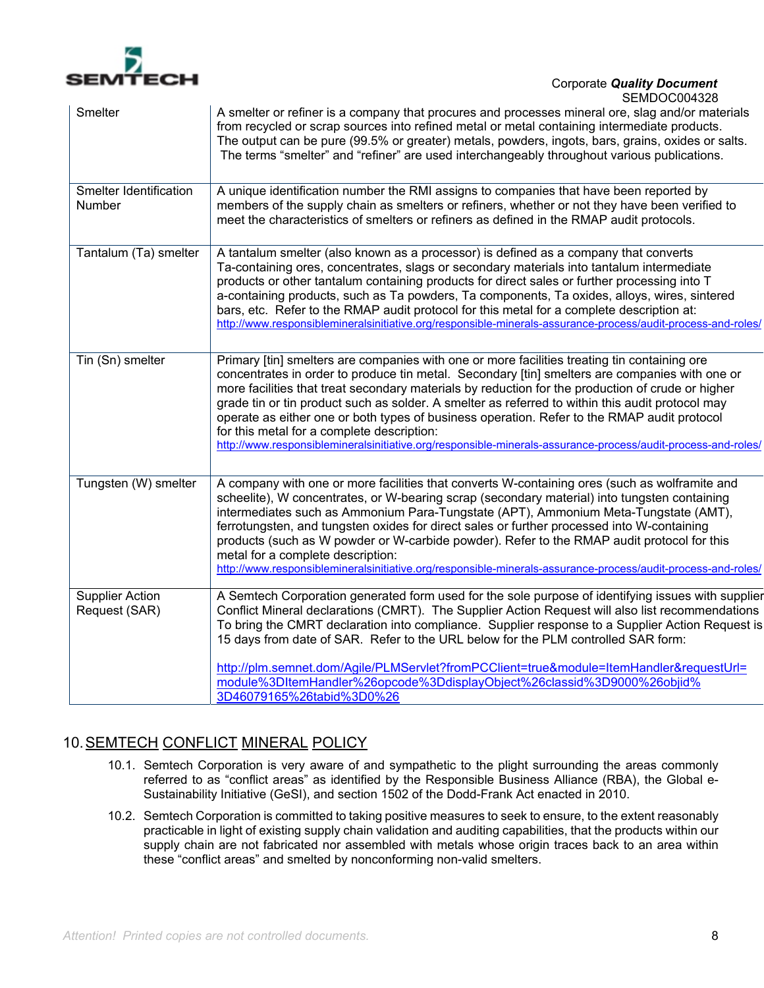

| A smelter or refiner is a company that procures and processes mineral ore, slag and/or materials<br>from recycled or scrap sources into refined metal or metal containing intermediate products.<br>The output can be pure (99.5% or greater) metals, powders, ingots, bars, grains, oxides or salts.<br>The terms "smelter" and "refiner" are used interchangeably throughout various publications.                                                                                                                                                                                                                                                                 |
|----------------------------------------------------------------------------------------------------------------------------------------------------------------------------------------------------------------------------------------------------------------------------------------------------------------------------------------------------------------------------------------------------------------------------------------------------------------------------------------------------------------------------------------------------------------------------------------------------------------------------------------------------------------------|
| A unique identification number the RMI assigns to companies that have been reported by<br>members of the supply chain as smelters or refiners, whether or not they have been verified to<br>meet the characteristics of smelters or refiners as defined in the RMAP audit protocols.                                                                                                                                                                                                                                                                                                                                                                                 |
| A tantalum smelter (also known as a processor) is defined as a company that converts<br>Ta-containing ores, concentrates, slags or secondary materials into tantalum intermediate<br>products or other tantalum containing products for direct sales or further processing into T<br>a-containing products, such as Ta powders, Ta components, Ta oxides, alloys, wires, sintered<br>bars, etc. Refer to the RMAP audit protocol for this metal for a complete description at:<br>http://www.responsiblemineralsinitiative.org/responsible-minerals-assurance-process/audit-process-and-roles/                                                                       |
| Primary [tin] smelters are companies with one or more facilities treating tin containing ore<br>concentrates in order to produce tin metal. Secondary [tin] smelters are companies with one or<br>more facilities that treat secondary materials by reduction for the production of crude or higher<br>grade tin or tin product such as solder. A smelter as referred to within this audit protocol may<br>operate as either one or both types of business operation. Refer to the RMAP audit protocol<br>for this metal for a complete description:<br>http://www.responsiblemineralsinitiative.org/responsible-minerals-assurance-process/audit-process-and-roles/ |
| A company with one or more facilities that converts W-containing ores (such as wolframite and<br>scheelite), W concentrates, or W-bearing scrap (secondary material) into tungsten containing<br>intermediates such as Ammonium Para-Tungstate (APT), Ammonium Meta-Tungstate (AMT),<br>ferrotungsten, and tungsten oxides for direct sales or further processed into W-containing<br>products (such as W powder or W-carbide powder). Refer to the RMAP audit protocol for this<br>metal for a complete description:<br>http://www.responsiblemineralsinitiative.org/responsible-minerals-assurance-process/audit-process-and-roles/                                |
| A Semtech Corporation generated form used for the sole purpose of identifying issues with supplier<br>Conflict Mineral declarations (CMRT). The Supplier Action Request will also list recommendations<br>To bring the CMRT declaration into compliance. Supplier response to a Supplier Action Request is<br>15 days from date of SAR. Refer to the URL below for the PLM controlled SAR form:<br>http://plm.semnet.dom/Agile/PLMServlet?fromPCClient=true&module=ItemHandler&requestUrl=<br>module%3DItemHandler%26opcode%3DdisplayObject%26classid%3D9000%26objid%<br>3D46079165%26tabid%3D0%26                                                                   |
|                                                                                                                                                                                                                                                                                                                                                                                                                                                                                                                                                                                                                                                                      |

## 10. SEMTECH CONFLICT MINERAL POLICY

- 10.1. Semtech Corporation is very aware of and sympathetic to the plight surrounding the areas commonly referred to as "conflict areas" as identified by the Responsible Business Alliance (RBA), the Global e-Sustainability Initiative (GeSI), and section 1502 of the Dodd-Frank Act enacted in 2010.
- 10.2. Semtech Corporation is committed to taking positive measures to seek to ensure, to the extent reasonably practicable in light of existing supply chain validation and auditing capabilities, that the products within our supply chain are not fabricated nor assembled with metals whose origin traces back to an area within these "conflict areas" and smelted by nonconforming non-valid smelters.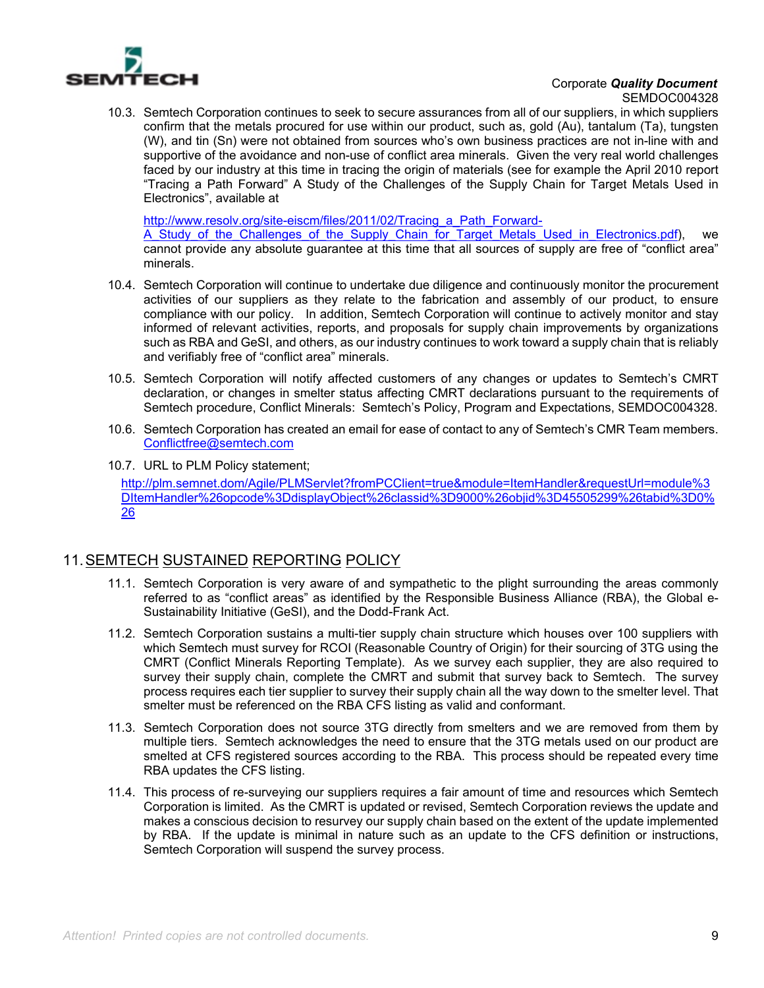

10.3. Semtech Corporation continues to seek to secure assurances from all of our suppliers, in which suppliers confirm that the metals procured for use within our product, such as, gold (Au), tantalum (Ta), tungsten (W), and tin (Sn) were not obtained from sources who's own business practices are not in-line with and supportive of the avoidance and non-use of conflict area minerals. Given the very real world challenges faced by our industry at this time in tracing the origin of materials (see for example the April 2010 report "Tracing a Path Forward" A Study of the Challenges of the Supply Chain for Target Metals Used in Electronics", available at

http://www.resolv.org/site-eiscm/files/2011/02/Tracing\_a\_Path\_Forward-

A Study of the Challenges of the Supply Chain for Target Metals Used in Electronics.pdf), we cannot provide any absolute guarantee at this time that all sources of supply are free of "conflict area" minerals.

- 10.4. Semtech Corporation will continue to undertake due diligence and continuously monitor the procurement activities of our suppliers as they relate to the fabrication and assembly of our product, to ensure compliance with our policy. In addition, Semtech Corporation will continue to actively monitor and stay informed of relevant activities, reports, and proposals for supply chain improvements by organizations such as RBA and GeSI, and others, as our industry continues to work toward a supply chain that is reliably and verifiably free of "conflict area" minerals.
- 10.5. Semtech Corporation will notify affected customers of any changes or updates to Semtech's CMRT declaration, or changes in smelter status affecting CMRT declarations pursuant to the requirements of Semtech procedure, Conflict Minerals: Semtech's Policy, Program and Expectations, SEMDOC004328.
- 10.6. Semtech Corporation has created an email for ease of contact to any of Semtech's CMR Team members. Conflictfree@semtech.com
- 10.7. URL to PLM Policy statement; http://plm.semnet.dom/Agile/PLMServlet?fromPCClient=true&module=ItemHandler&requestUrl=module%3 DItemHandler%26opcode%3DdisplayObject%26classid%3D9000%26objid%3D45505299%26tabid%3D0% 26

## 11. SEMTECH SUSTAINED REPORTING POLICY

- 11.1. Semtech Corporation is very aware of and sympathetic to the plight surrounding the areas commonly referred to as "conflict areas" as identified by the Responsible Business Alliance (RBA), the Global e-Sustainability Initiative (GeSI), and the Dodd-Frank Act.
- 11.2. Semtech Corporation sustains a multi-tier supply chain structure which houses over 100 suppliers with which Semtech must survey for RCOI (Reasonable Country of Origin) for their sourcing of 3TG using the CMRT (Conflict Minerals Reporting Template). As we survey each supplier, they are also required to survey their supply chain, complete the CMRT and submit that survey back to Semtech. The survey process requires each tier supplier to survey their supply chain all the way down to the smelter level. That smelter must be referenced on the RBA CFS listing as valid and conformant.
- 11.3. Semtech Corporation does not source 3TG directly from smelters and we are removed from them by multiple tiers. Semtech acknowledges the need to ensure that the 3TG metals used on our product are smelted at CFS registered sources according to the RBA. This process should be repeated every time RBA updates the CFS listing.
- 11.4. This process of re-surveying our suppliers requires a fair amount of time and resources which Semtech Corporation is limited. As the CMRT is updated or revised, Semtech Corporation reviews the update and makes a conscious decision to resurvey our supply chain based on the extent of the update implemented by RBA. If the update is minimal in nature such as an update to the CFS definition or instructions, Semtech Corporation will suspend the survey process.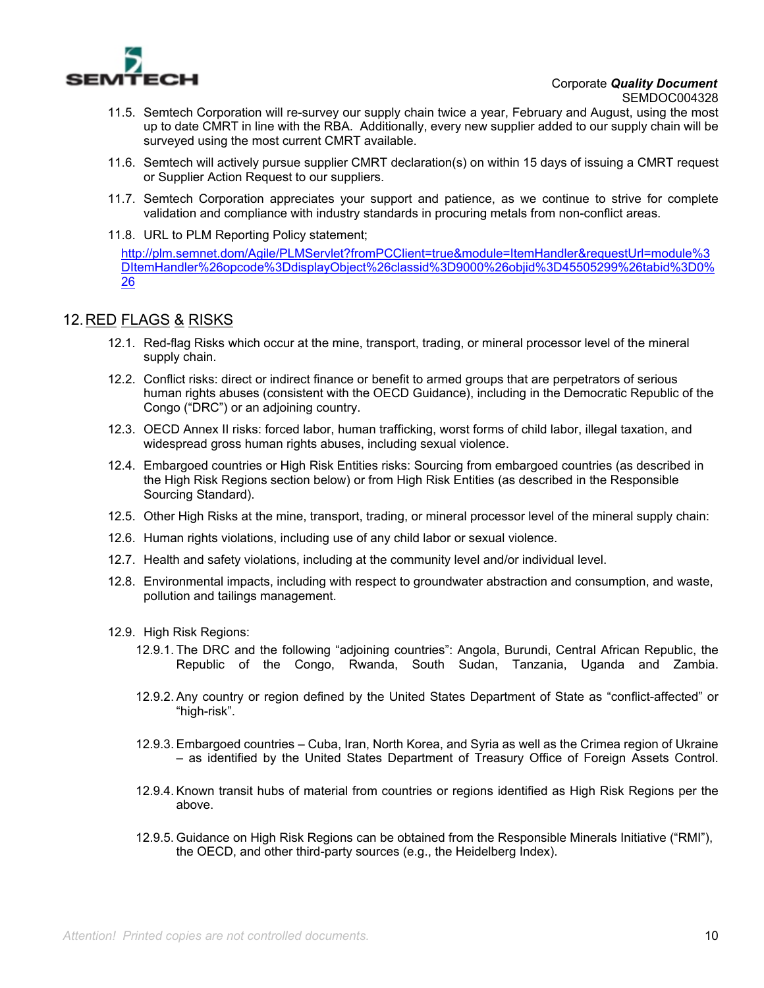

- 11.5. Semtech Corporation will re-survey our supply chain twice a year, February and August, using the most up to date CMRT in line with the RBA. Additionally, every new supplier added to our supply chain will be surveyed using the most current CMRT available.
- 11.6. Semtech will actively pursue supplier CMRT declaration(s) on within 15 days of issuing a CMRT request or Supplier Action Request to our suppliers.
- 11.7. Semtech Corporation appreciates your support and patience, as we continue to strive for complete validation and compliance with industry standards in procuring metals from non-conflict areas.
- 11.8. URL to PLM Reporting Policy statement;

http://plm.semnet.dom/Agile/PLMServlet?fromPCClient=true&module=ItemHandler&requestUrl=module%3 DItemHandler%26opcode%3DdisplayObject%26classid%3D9000%26objid%3D45505299%26tabid%3D0% 26

## 12. RED FLAGS & RISKS

- 12.1. Red-flag Risks which occur at the mine, transport, trading, or mineral processor level of the mineral supply chain.
- 12.2. Conflict risks: direct or indirect finance or benefit to armed groups that are perpetrators of serious human rights abuses (consistent with the OECD Guidance), including in the Democratic Republic of the Congo ("DRC") or an adjoining country.
- 12.3. OECD Annex II risks: forced labor, human trafficking, worst forms of child labor, illegal taxation, and widespread gross human rights abuses, including sexual violence.
- 12.4. Embargoed countries or High Risk Entities risks: Sourcing from embargoed countries (as described in the High Risk Regions section below) or from High Risk Entities (as described in the Responsible Sourcing Standard).
- 12.5. Other High Risks at the mine, transport, trading, or mineral processor level of the mineral supply chain:
- 12.6. Human rights violations, including use of any child labor or sexual violence.
- 12.7. Health and safety violations, including at the community level and/or individual level.
- 12.8. Environmental impacts, including with respect to groundwater abstraction and consumption, and waste, pollution and tailings management.
- 12.9. High Risk Regions:
	- 12.9.1. The DRC and the following "adjoining countries": Angola, Burundi, Central African Republic, the Republic of the Congo, Rwanda, South Sudan, Tanzania, Uganda and Zambia.
	- 12.9.2. Any country or region defined by the United States Department of State as "conflict-affected" or "high-risk".
	- 12.9.3. Embargoed countries Cuba, Iran, North Korea, and Syria as well as the Crimea region of Ukraine – as identified by the United States Department of Treasury Office of Foreign Assets Control.
	- 12.9.4. Known transit hubs of material from countries or regions identified as High Risk Regions per the above.
	- 12.9.5. Guidance on High Risk Regions can be obtained from the Responsible Minerals Initiative ("RMI"), the OECD, and other third-party sources (e.g., the Heidelberg Index).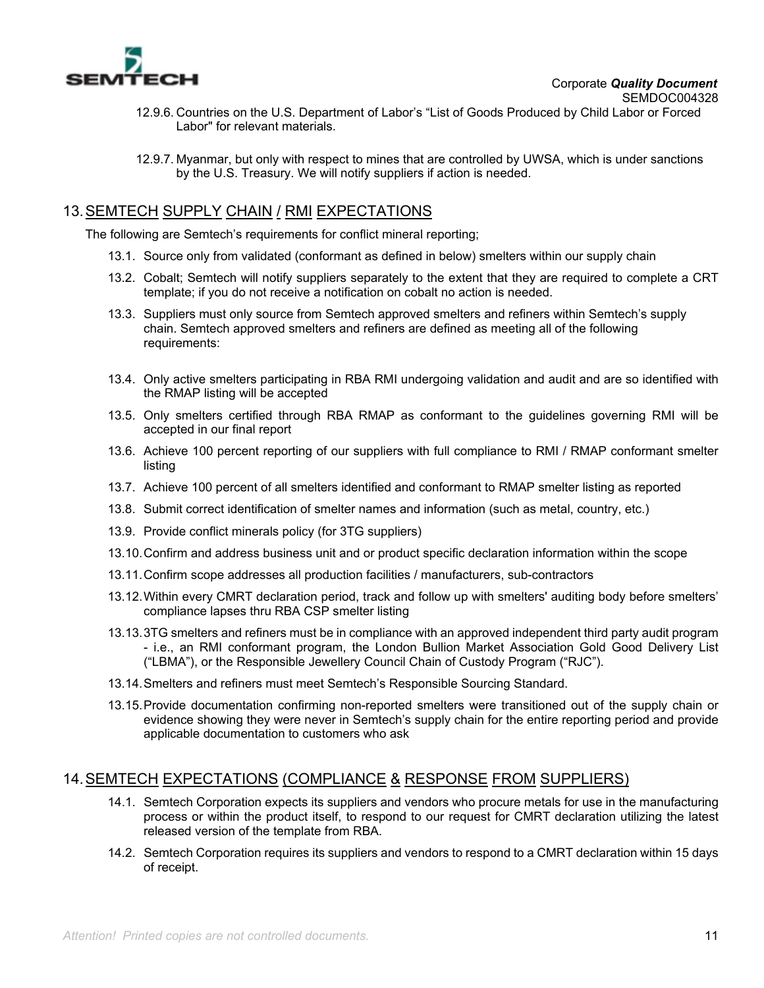

- 12.9.6. Countries on the U.S. Department of Labor's "List of Goods Produced by Child Labor or Forced Labor" for relevant materials.
- 12.9.7. Myanmar, but only with respect to mines that are controlled by UWSA, which is under sanctions by the U.S. Treasury. We will notify suppliers if action is needed.

## 13. SEMTECH SUPPLY CHAIN / RMI EXPECTATIONS

The following are Semtech's requirements for conflict mineral reporting;

- 13.1. Source only from validated (conformant as defined in below) smelters within our supply chain
- 13.2. Cobalt; Semtech will notify suppliers separately to the extent that they are required to complete a CRT template; if you do not receive a notification on cobalt no action is needed.
- 13.3. Suppliers must only source from Semtech approved smelters and refiners within Semtech's supply chain. Semtech approved smelters and refiners are defined as meeting all of the following requirements:
- 13.4. Only active smelters participating in RBA RMI undergoing validation and audit and are so identified with the RMAP listing will be accepted
- 13.5. Only smelters certified through RBA RMAP as conformant to the guidelines governing RMI will be accepted in our final report
- 13.6. Achieve 100 percent reporting of our suppliers with full compliance to RMI / RMAP conformant smelter listing
- 13.7. Achieve 100 percent of all smelters identified and conformant to RMAP smelter listing as reported
- 13.8. Submit correct identification of smelter names and information (such as metal, country, etc.)
- 13.9. Provide conflict minerals policy (for 3TG suppliers)
- 13.10. Confirm and address business unit and or product specific declaration information within the scope
- 13.11. Confirm scope addresses all production facilities / manufacturers, sub-contractors
- 13.12. Within every CMRT declaration period, track and follow up with smelters' auditing body before smelters' compliance lapses thru RBA CSP smelter listing
- 13.13. 3TG smelters and refiners must be in compliance with an approved independent third party audit program - i.e., an RMI conformant program, the London Bullion Market Association Gold Good Delivery List ("LBMA"), or the Responsible Jewellery Council Chain of Custody Program ("RJC").
- 13.14. Smelters and refiners must meet Semtech's Responsible Sourcing Standard.
- 13.15. Provide documentation confirming non-reported smelters were transitioned out of the supply chain or evidence showing they were never in Semtech's supply chain for the entire reporting period and provide applicable documentation to customers who ask

## 14. SEMTECH EXPECTATIONS (COMPLIANCE & RESPONSE FROM SUPPLIERS)

- 14.1. Semtech Corporation expects its suppliers and vendors who procure metals for use in the manufacturing process or within the product itself, to respond to our request for CMRT declaration utilizing the latest released version of the template from RBA.
- 14.2. Semtech Corporation requires its suppliers and vendors to respond to a CMRT declaration within 15 days of receipt.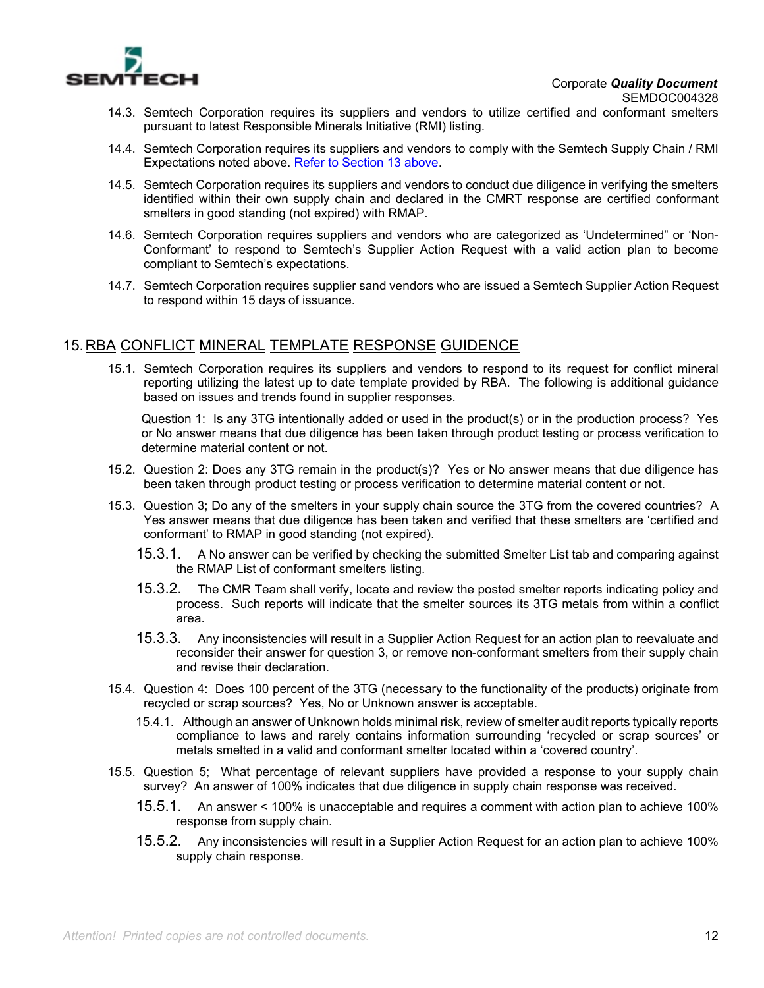

- 14.3. Semtech Corporation requires its suppliers and vendors to utilize certified and conformant smelters pursuant to latest Responsible Minerals Initiative (RMI) listing.
- 14.4. Semtech Corporation requires its suppliers and vendors to comply with the Semtech Supply Chain / RMI Expectations noted above. Refer to Section 13 above.
- 14.5. Semtech Corporation requires its suppliers and vendors to conduct due diligence in verifying the smelters identified within their own supply chain and declared in the CMRT response are certified conformant smelters in good standing (not expired) with RMAP.
- 14.6. Semtech Corporation requires suppliers and vendors who are categorized as 'Undetermined" or 'Non-Conformant' to respond to Semtech's Supplier Action Request with a valid action plan to become compliant to Semtech's expectations.
- 14.7. Semtech Corporation requires supplier sand vendors who are issued a Semtech Supplier Action Request to respond within 15 days of issuance.

## 15. RBA CONFLICT MINERAL TEMPLATE RESPONSE GUIDENCE

15.1. Semtech Corporation requires its suppliers and vendors to respond to its request for conflict mineral reporting utilizing the latest up to date template provided by RBA. The following is additional guidance based on issues and trends found in supplier responses.

Question 1: Is any 3TG intentionally added or used in the product(s) or in the production process? Yes or No answer means that due diligence has been taken through product testing or process verification to determine material content or not.

- 15.2. Question 2: Does any 3TG remain in the product(s)? Yes or No answer means that due diligence has been taken through product testing or process verification to determine material content or not.
- 15.3. Question 3; Do any of the smelters in your supply chain source the 3TG from the covered countries? A Yes answer means that due diligence has been taken and verified that these smelters are 'certified and conformant' to RMAP in good standing (not expired).
	- 15.3.1. A No answer can be verified by checking the submitted Smelter List tab and comparing against the RMAP List of conformant smelters listing.
	- 15.3.2. The CMR Team shall verify, locate and review the posted smelter reports indicating policy and process. Such reports will indicate that the smelter sources its 3TG metals from within a conflict area.
	- 15.3.3. Any inconsistencies will result in a Supplier Action Request for an action plan to reevaluate and reconsider their answer for question 3, or remove non-conformant smelters from their supply chain and revise their declaration.
- 15.4. Question 4: Does 100 percent of the 3TG (necessary to the functionality of the products) originate from recycled or scrap sources? Yes, No or Unknown answer is acceptable.
	- 15.4.1. Although an answer of Unknown holds minimal risk, review of smelter audit reports typically reports compliance to laws and rarely contains information surrounding 'recycled or scrap sources' or metals smelted in a valid and conformant smelter located within a 'covered country'.
- 15.5. Question 5; What percentage of relevant suppliers have provided a response to your supply chain survey? An answer of 100% indicates that due diligence in supply chain response was received.
	- 15.5.1. An answer < 100% is unacceptable and requires a comment with action plan to achieve 100% response from supply chain.
	- 15.5.2. Any inconsistencies will result in a Supplier Action Request for an action plan to achieve 100% supply chain response.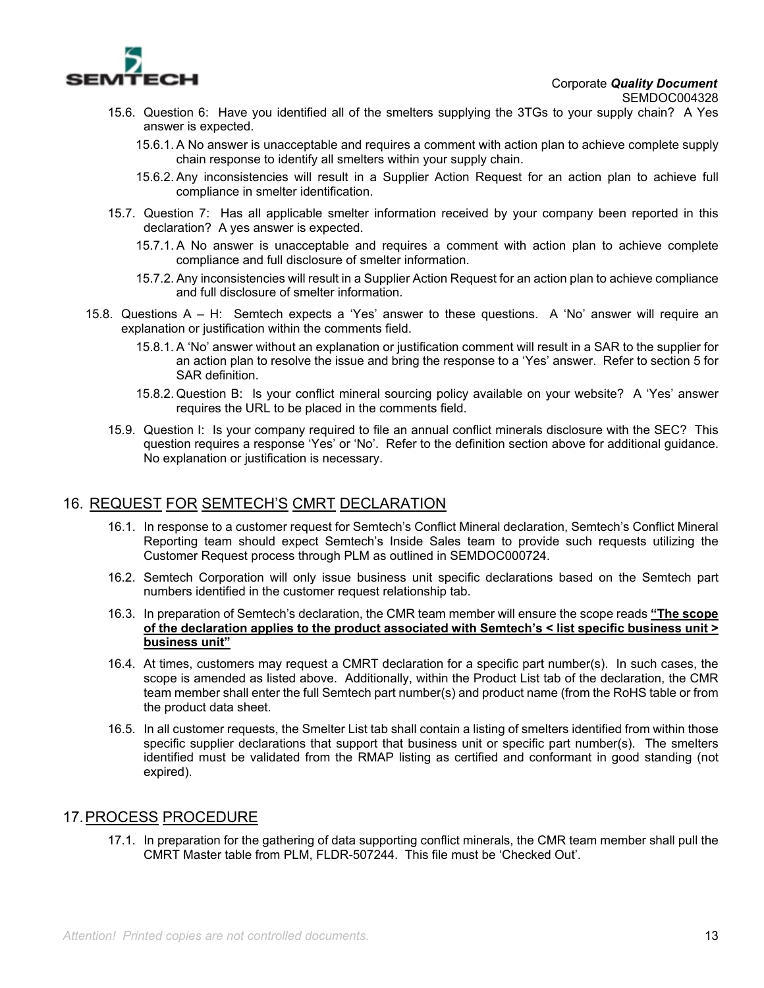

- 15.6. Question 6: Have you identified all of the smelters supplying the 3TGs to your supply chain? A Yes answer is expected.
	- 15.6.1. A No answer is unacceptable and requires a comment with action plan to achieve complete supply chain response to identify all smelters within your supply chain.
	- 15.6.2. Any inconsistencies will result in a Supplier Action Request for an action plan to achieve full compliance in smelter identification.
- 15.7. Question 7: Has all applicable smelter information received by your company been reported in this declaration? A yes answer is expected.
	- 15.7.1. A No answer is unacceptable and requires a comment with action plan to achieve complete compliance and full disclosure of smelter information.
	- 15.7.2. Any inconsistencies will result in a Supplier Action Request for an action plan to achieve compliance and full disclosure of smelter information.
- 15.8. Questions A H: Semtech expects a 'Yes' answer to these questions. A 'No' answer will require an explanation or justification within the comments field.
	- 15.8.1. A 'No' answer without an explanation or justification comment will result in a SAR to the supplier for an action plan to resolve the issue and bring the response to a 'Yes' answer. Refer to section 5 for SAR definition.
	- 15.8.2. Question B: Is your conflict mineral sourcing policy available on your website? A 'Yes' answer requires the URL to be placed in the comments field.
	- 15.9. Question I: Is your company required to file an annual conflict minerals disclosure with the SEC? This question requires a response 'Yes' or 'No'. Refer to the definition section above for additional guidance. No explanation or justification is necessary.

## 16. REQUEST FOR SEMTECH'S CMRT DECLARATION

- 16.1. In response to a customer request for Semtech's Conflict Mineral declaration, Semtech's Conflict Mineral Reporting team should expect Semtech's Inside Sales team to provide such requests utilizing the Customer Request process through PLM as outlined in SEMDOC000724.
- 16.2. Semtech Corporation will only issue business unit specific declarations based on the Semtech part numbers identified in the customer request relationship tab.
- 16.3. In preparation of Semtech's declaration, the CMR team member will ensure the scope reads **"The scope of the declaration applies to the product associated with Semtech's < list specific business unit > business unit"**
- 16.4. At times, customers may request a CMRT declaration for a specific part number(s). In such cases, the scope is amended as listed above. Additionally, within the Product List tab of the declaration, the CMR team member shall enter the full Semtech part number(s) and product name (from the RoHS table or from the product data sheet.
- 16.5. In all customer requests, the Smelter List tab shall contain a listing of smelters identified from within those specific supplier declarations that support that business unit or specific part number(s). The smelters identified must be validated from the RMAP listing as certified and conformant in good standing (not expired).

## 17. PROCESS PROCEDURE

17.1. In preparation for the gathering of data supporting conflict minerals, the CMR team member shall pull the CMRT Master table from PLM, FLDR-507244. This file must be 'Checked Out'.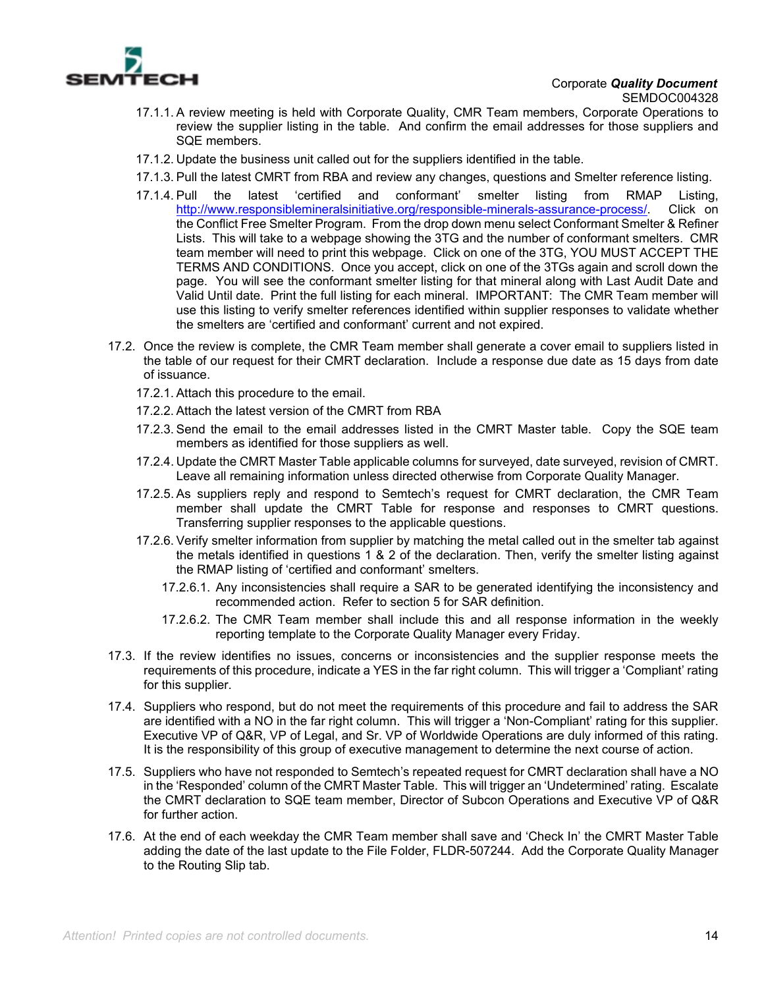

- 17.1.1. A review meeting is held with Corporate Quality, CMR Team members, Corporate Operations to review the supplier listing in the table. And confirm the email addresses for those suppliers and SQE members.
- 17.1.2. Update the business unit called out for the suppliers identified in the table.
- 17.1.3. Pull the latest CMRT from RBA and review any changes, questions and Smelter reference listing.
- 17.1.4. Pull the latest 'certified and conformant' smelter listing from RMAP Listing, http://www.responsiblemineralsinitiative.org/responsible-minerals-assurance-process/. Click on the Conflict Free Smelter Program. From the drop down menu select Conformant Smelter & Refiner Lists. This will take to a webpage showing the 3TG and the number of conformant smelters. CMR team member will need to print this webpage. Click on one of the 3TG, YOU MUST ACCEPT THE TERMS AND CONDITIONS. Once you accept, click on one of the 3TGs again and scroll down the page. You will see the conformant smelter listing for that mineral along with Last Audit Date and Valid Until date. Print the full listing for each mineral. IMPORTANT: The CMR Team member will use this listing to verify smelter references identified within supplier responses to validate whether the smelters are 'certified and conformant' current and not expired.
- 17.2. Once the review is complete, the CMR Team member shall generate a cover email to suppliers listed in the table of our request for their CMRT declaration. Include a response due date as 15 days from date of issuance.
	- 17.2.1. Attach this procedure to the email.
	- 17.2.2. Attach the latest version of the CMRT from RBA
	- 17.2.3. Send the email to the email addresses listed in the CMRT Master table. Copy the SQE team members as identified for those suppliers as well.
	- 17.2.4. Update the CMRT Master Table applicable columns for surveyed, date surveyed, revision of CMRT. Leave all remaining information unless directed otherwise from Corporate Quality Manager.
	- 17.2.5. As suppliers reply and respond to Semtech's request for CMRT declaration, the CMR Team member shall update the CMRT Table for response and responses to CMRT questions. Transferring supplier responses to the applicable questions.
	- 17.2.6. Verify smelter information from supplier by matching the metal called out in the smelter tab against the metals identified in questions 1 & 2 of the declaration. Then, verify the smelter listing against the RMAP listing of 'certified and conformant' smelters.
		- 17.2.6.1. Any inconsistencies shall require a SAR to be generated identifying the inconsistency and recommended action. Refer to section 5 for SAR definition.
		- 17.2.6.2. The CMR Team member shall include this and all response information in the weekly reporting template to the Corporate Quality Manager every Friday.
- 17.3. If the review identifies no issues, concerns or inconsistencies and the supplier response meets the requirements of this procedure, indicate a YES in the far right column. This will trigger a 'Compliant' rating for this supplier.
- 17.4. Suppliers who respond, but do not meet the requirements of this procedure and fail to address the SAR are identified with a NO in the far right column. This will trigger a 'Non-Compliant' rating for this supplier. Executive VP of Q&R, VP of Legal, and Sr. VP of Worldwide Operations are duly informed of this rating. It is the responsibility of this group of executive management to determine the next course of action.
- 17.5. Suppliers who have not responded to Semtech's repeated request for CMRT declaration shall have a NO in the 'Responded' column of the CMRT Master Table. This will trigger an 'Undetermined' rating. Escalate the CMRT declaration to SQE team member, Director of Subcon Operations and Executive VP of Q&R for further action.
- 17.6. At the end of each weekday the CMR Team member shall save and 'Check In' the CMRT Master Table adding the date of the last update to the File Folder, FLDR-507244. Add the Corporate Quality Manager to the Routing Slip tab.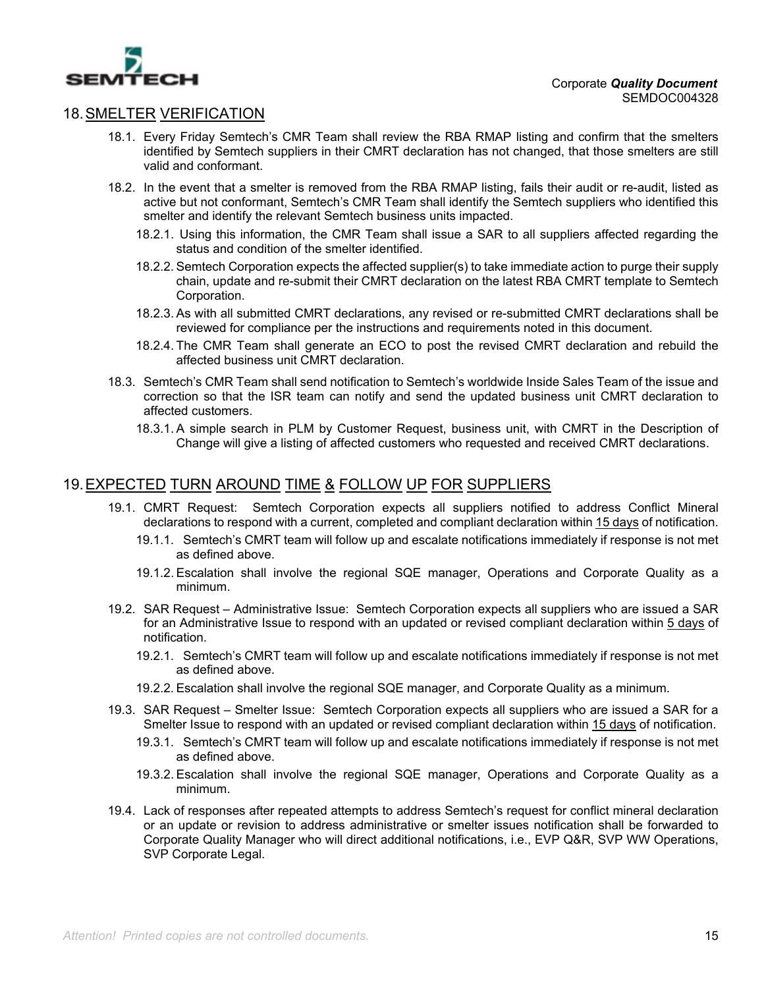

## 18. SMELTER VERIFICATION

- 18.1. Every Friday Semtech's CMR Team shall review the RBA RMAP listing and confirm that the smelters identified by Semtech suppliers in their CMRT declaration has not changed, that those smelters are still valid and conformant.
- 18.2. In the event that a smelter is removed from the RBA RMAP listing, fails their audit or re-audit, listed as active but not conformant, Semtech's CMR Team shall identify the Semtech suppliers who identified this smelter and identify the relevant Semtech business units impacted.
	- 18.2.1. Using this information, the CMR Team shall issue a SAR to all suppliers affected regarding the status and condition of the smelter identified.
	- 18.2.2. Semtech Corporation expects the affected supplier(s) to take immediate action to purge their supply chain, update and re-submit their CMRT declaration on the latest RBA CMRT template to Semtech Corporation.
	- 18.2.3. As with all submitted CMRT declarations, any revised or re-submitted CMRT declarations shall be reviewed for compliance per the instructions and requirements noted in this document.
	- 18.2.4. The CMR Team shall generate an ECO to post the revised CMRT declaration and rebuild the affected business unit CMRT declaration.
- 18.3. Semtech's CMR Team shall send notification to Semtech's worldwide Inside Sales Team of the issue and correction so that the ISR team can notify and send the updated business unit CMRT declaration to affected customers.
	- 18.3.1. A simple search in PLM by Customer Request, business unit, with CMRT in the Description of Change will give a listing of affected customers who requested and received CMRT declarations.

### 19. EXPECTED TURN AROUND TIME & FOLLOW UP FOR SUPPLIERS

- 19.1. CMRT Request: Semtech Corporation expects all suppliers notified to address Conflict Mineral declarations to respond with a current, completed and compliant declaration within 15 days of notification.
	- 19.1.1. Semtech's CMRT team will follow up and escalate notifications immediately if response is not met as defined above.
	- 19.1.2. Escalation shall involve the regional SQE manager, Operations and Corporate Quality as a minimum.
- 19.2. SAR Request Administrative Issue: Semtech Corporation expects all suppliers who are issued a SAR for an Administrative Issue to respond with an updated or revised compliant declaration within 5 days of notification.
	- 19.2.1. Semtech's CMRT team will follow up and escalate notifications immediately if response is not met as defined above.
	- 19.2.2. Escalation shall involve the regional SQE manager, and Corporate Quality as a minimum.
- 19.3. SAR Request Smelter Issue: Semtech Corporation expects all suppliers who are issued a SAR for a Smelter Issue to respond with an updated or revised compliant declaration within 15 days of notification.
	- 19.3.1. Semtech's CMRT team will follow up and escalate notifications immediately if response is not met as defined above.
	- 19.3.2. Escalation shall involve the regional SQE manager, Operations and Corporate Quality as a minimum.
- 19.4. Lack of responses after repeated attempts to address Semtech's request for conflict mineral declaration or an update or revision to address administrative or smelter issues notification shall be forwarded to Corporate Quality Manager who will direct additional notifications, i.e., EVP Q&R, SVP WW Operations, SVP Corporate Legal.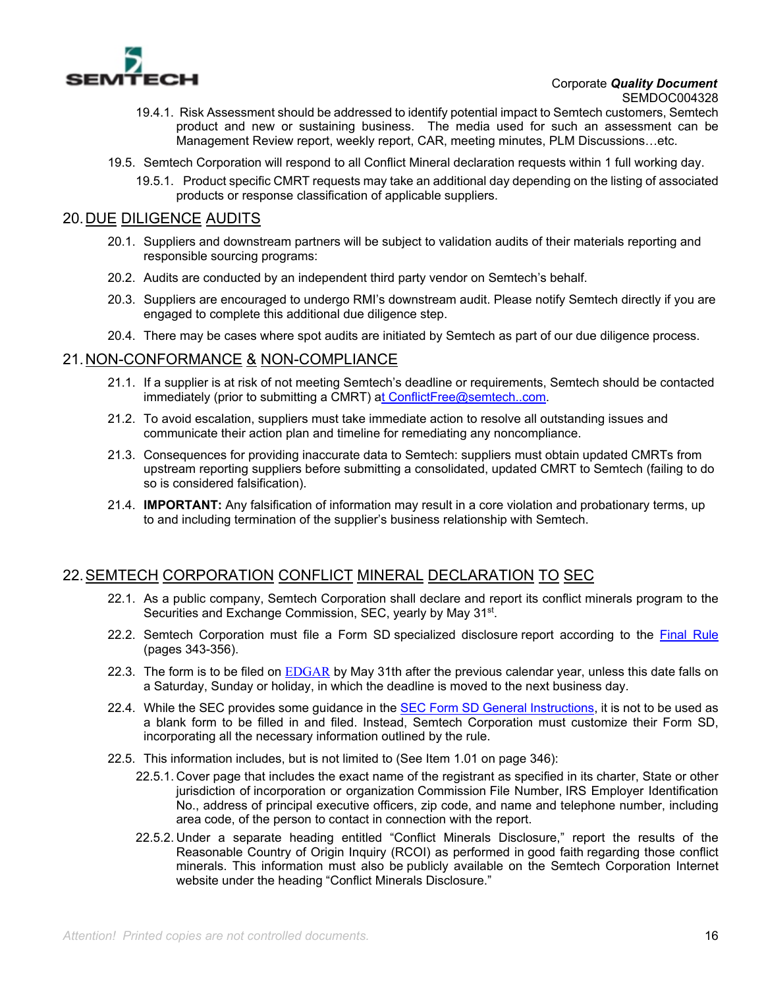

- 19.4.1. Risk Assessment should be addressed to identify potential impact to Semtech customers, Semtech product and new or sustaining business. The media used for such an assessment can be Management Review report, weekly report, CAR, meeting minutes, PLM Discussions…etc.
- 19.5. Semtech Corporation will respond to all Conflict Mineral declaration requests within 1 full working day.
	- 19.5.1. Product specific CMRT requests may take an additional day depending on the listing of associated products or response classification of applicable suppliers.

### 20. DUE DILIGENCE AUDITS

- 20.1. Suppliers and downstream partners will be subject to validation audits of their materials reporting and responsible sourcing programs:
- 20.2. Audits are conducted by an independent third party vendor on Semtech's behalf.
- 20.3. Suppliers are encouraged to undergo RMI's downstream audit. Please notify Semtech directly if you are engaged to complete this additional due diligence step.
- 20.4. There may be cases where spot audits are initiated by Semtech as part of our due diligence process.

### 21. NON-CONFORMANCE & NON-COMPLIANCE

- 21.1. If a supplier is at risk of not meeting Semtech's deadline or requirements, Semtech should be contacted immediately (prior to submitting a CMRT) at ConflictFree@semtech..com.
- 21.2. To avoid escalation, suppliers must take immediate action to resolve all outstanding issues and communicate their action plan and timeline for remediating any noncompliance.
- 21.3. Consequences for providing inaccurate data to Semtech: suppliers must obtain updated CMRTs from upstream reporting suppliers before submitting a consolidated, updated CMRT to Semtech (failing to do so is considered falsification).
- 21.4. **IMPORTANT:** Any falsification of information may result in a core violation and probationary terms, up to and including termination of the supplier's business relationship with Semtech.

## 22. SEMTECH CORPORATION CONFLICT MINERAL DECLARATION TO SEC

- 22.1. As a public company, Semtech Corporation shall declare and report its conflict minerals program to the Securities and Exchange Commission, SEC, yearly by May 31<sup>st</sup>.
- 22.2. Semtech Corporation must file a Form SD specialized disclosure report according to the Final Rule (pages 343-356).
- 22.3. The form is to be filed on EDGAR by May 31th after the previous calendar year, unless this date falls on a Saturday, Sunday or holiday, in which the deadline is moved to the next business day.
- 22.4. While the SEC provides some quidance in the SEC Form SD General Instructions, it is not to be used as a blank form to be filled in and filed. Instead, Semtech Corporation must customize their Form SD, incorporating all the necessary information outlined by the rule.
- 22.5. This information includes, but is not limited to (See Item 1.01 on page 346):
	- 22.5.1. Cover page that includes the exact name of the registrant as specified in its charter, State or other jurisdiction of incorporation or organization Commission File Number, IRS Employer Identification No., address of principal executive officers, zip code, and name and telephone number, including area code, of the person to contact in connection with the report.
	- 22.5.2. Under a separate heading entitled "Conflict Minerals Disclosure," report the results of the Reasonable Country of Origin Inquiry (RCOI) as performed in good faith regarding those conflict minerals. This information must also be publicly available on the Semtech Corporation Internet website under the heading "Conflict Minerals Disclosure."